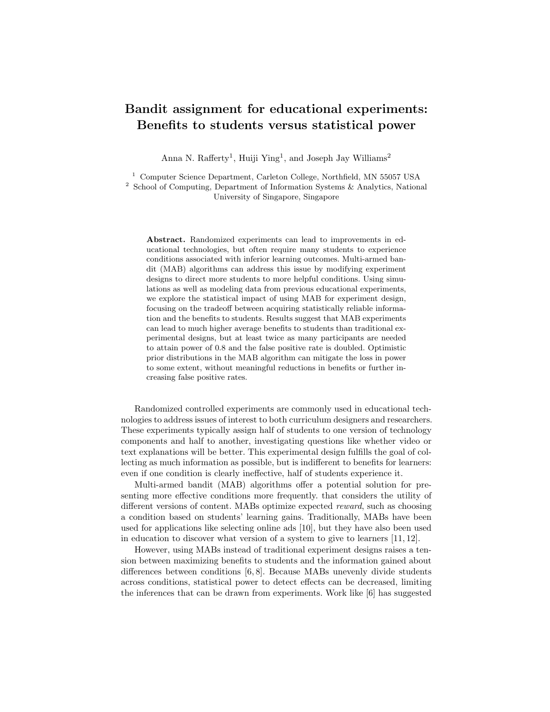# Bandit assignment for educational experiments: Benefits to students versus statistical power

Anna N. Rafferty<sup>1</sup>, Huiji Ying<sup>1</sup>, and Joseph Jay Williams<sup>2</sup>

<sup>1</sup> Computer Science Department, Carleton College, Northfield, MN 55057 USA

<sup>2</sup> School of Computing, Department of Information Systems & Analytics, National University of Singapore, Singapore

Abstract. Randomized experiments can lead to improvements in educational technologies, but often require many students to experience conditions associated with inferior learning outcomes. Multi-armed bandit (MAB) algorithms can address this issue by modifying experiment designs to direct more students to more helpful conditions. Using simulations as well as modeling data from previous educational experiments, we explore the statistical impact of using MAB for experiment design, focusing on the tradeoff between acquiring statistically reliable information and the benefits to students. Results suggest that MAB experiments can lead to much higher average benefits to students than traditional experimental designs, but at least twice as many participants are needed to attain power of 0.8 and the false positive rate is doubled. Optimistic prior distributions in the MAB algorithm can mitigate the loss in power to some extent, without meaningful reductions in benefits or further increasing false positive rates.

Randomized controlled experiments are commonly used in educational technologies to address issues of interest to both curriculum designers and researchers. These experiments typically assign half of students to one version of technology components and half to another, investigating questions like whether video or text explanations will be better. This experimental design fulfills the goal of collecting as much information as possible, but is indifferent to benefits for learners: even if one condition is clearly ineffective, half of students experience it.

Multi-armed bandit (MAB) algorithms offer a potential solution for presenting more effective conditions more frequently. that considers the utility of different versions of content. MABs optimize expected reward, such as choosing a condition based on students' learning gains. Traditionally, MABs have been used for applications like selecting online ads [10], but they have also been used in education to discover what version of a system to give to learners [11, 12].

However, using MABs instead of traditional experiment designs raises a tension between maximizing benefits to students and the information gained about differences between conditions [6, 8]. Because MABs unevenly divide students across conditions, statistical power to detect effects can be decreased, limiting the inferences that can be drawn from experiments. Work like [6] has suggested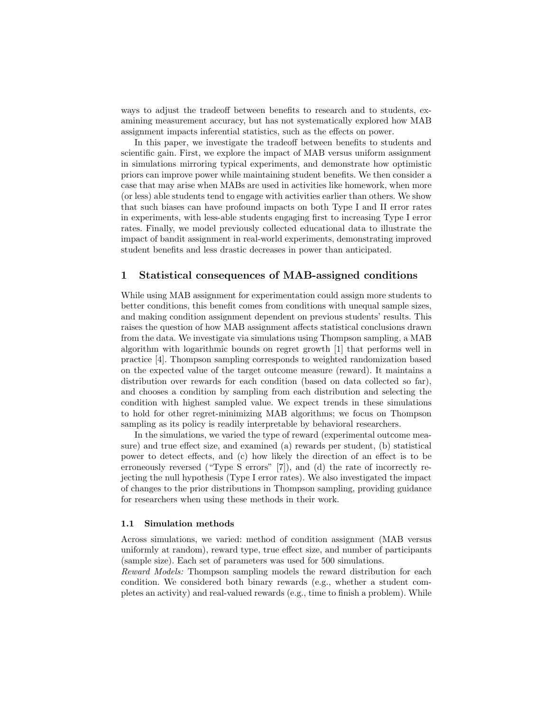ways to adjust the tradeoff between benefits to research and to students, examining measurement accuracy, but has not systematically explored how MAB assignment impacts inferential statistics, such as the effects on power.

In this paper, we investigate the tradeoff between benefits to students and scientific gain. First, we explore the impact of MAB versus uniform assignment in simulations mirroring typical experiments, and demonstrate how optimistic priors can improve power while maintaining student benefits. We then consider a case that may arise when MABs are used in activities like homework, when more (or less) able students tend to engage with activities earlier than others. We show that such biases can have profound impacts on both Type I and II error rates in experiments, with less-able students engaging first to increasing Type I error rates. Finally, we model previously collected educational data to illustrate the impact of bandit assignment in real-world experiments, demonstrating improved student benefits and less drastic decreases in power than anticipated.

# 1 Statistical consequences of MAB-assigned conditions

While using MAB assignment for experimentation could assign more students to better conditions, this benefit comes from conditions with unequal sample sizes, and making condition assignment dependent on previous students' results. This raises the question of how MAB assignment affects statistical conclusions drawn from the data. We investigate via simulations using Thompson sampling, a MAB algorithm with logarithmic bounds on regret growth [1] that performs well in practice [4]. Thompson sampling corresponds to weighted randomization based on the expected value of the target outcome measure (reward). It maintains a distribution over rewards for each condition (based on data collected so far), and chooses a condition by sampling from each distribution and selecting the condition with highest sampled value. We expect trends in these simulations to hold for other regret-minimizing MAB algorithms; we focus on Thompson sampling as its policy is readily interpretable by behavioral researchers.

In the simulations, we varied the type of reward (experimental outcome measure) and true effect size, and examined (a) rewards per student, (b) statistical power to detect effects, and (c) how likely the direction of an effect is to be erroneously reversed ("Type S errors" [7]), and (d) the rate of incorrectly rejecting the null hypothesis (Type I error rates). We also investigated the impact of changes to the prior distributions in Thompson sampling, providing guidance for researchers when using these methods in their work.

#### 1.1 Simulation methods

Across simulations, we varied: method of condition assignment (MAB versus uniformly at random), reward type, true effect size, and number of participants (sample size). Each set of parameters was used for 500 simulations.

Reward Models: Thompson sampling models the reward distribution for each condition. We considered both binary rewards (e.g., whether a student completes an activity) and real-valued rewards (e.g., time to finish a problem). While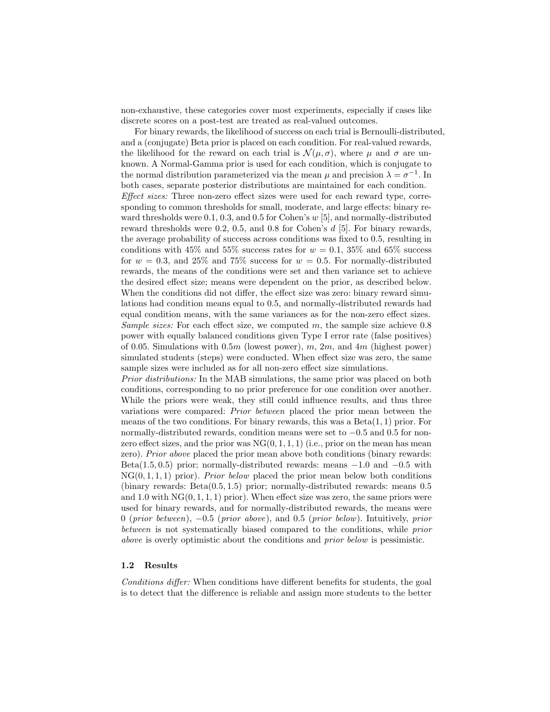non-exhaustive, these categories cover most experiments, especially if cases like discrete scores on a post-test are treated as real-valued outcomes.

For binary rewards, the likelihood of success on each trial is Bernoulli-distributed, and a (conjugate) Beta prior is placed on each condition. For real-valued rewards, the likelihood for the reward on each trial is  $\mathcal{N}(\mu, \sigma)$ , where  $\mu$  and  $\sigma$  are unknown. A Normal-Gamma prior is used for each condition, which is conjugate to the normal distribution parameterized via the mean  $\mu$  and precision  $\lambda = \sigma^{-1}$ . In both cases, separate posterior distributions are maintained for each condition. Effect sizes: Three non-zero effect sizes were used for each reward type, corresponding to common thresholds for small, moderate, and large effects: binary reward thresholds were 0.1, 0.3, and 0.5 for Cohen's w [5], and normally-distributed reward thresholds were 0.2, 0.5, and 0.8 for Cohen's d [5]. For binary rewards, the average probability of success across conditions was fixed to 0.5, resulting in conditions with 45% and 55% success rates for  $w = 0.1, 35\%$  and 65% success for  $w = 0.3$ , and  $25\%$  and  $75\%$  success for  $w = 0.5$ . For normally-distributed rewards, the means of the conditions were set and then variance set to achieve the desired effect size; means were dependent on the prior, as described below. When the conditions did not differ, the effect size was zero: binary reward simulations had condition means equal to 0.5, and normally-distributed rewards had equal condition means, with the same variances as for the non-zero effect sizes. Sample sizes: For each effect size, we computed  $m$ , the sample size achieve  $0.8$ power with equally balanced conditions given Type I error rate (false positives) of 0.05. Simulations with 0.5m (lowest power), m, 2m, and  $4m$  (highest power) simulated students (steps) were conducted. When effect size was zero, the same sample sizes were included as for all non-zero effect size simulations. Prior distributions: In the MAB simulations, the same prior was placed on both

conditions, corresponding to no prior preference for one condition over another. While the priors were weak, they still could influence results, and thus three variations were compared: Prior between placed the prior mean between the means of the two conditions. For binary rewards, this was a  $Beta(1, 1)$  prior. For normally-distributed rewards, condition means were set to −0.5 and 0.5 for nonzero effect sizes, and the prior was  $NG(0, 1, 1, 1)$  (i.e., prior on the mean has mean zero). Prior above placed the prior mean above both conditions (binary rewards: Beta(1.5, 0.5) prior; normally-distributed rewards: means  $-1.0$  and  $-0.5$  with  $NG(0, 1, 1, 1)$  prior). *Prior below* placed the prior mean below both conditions (binary rewards: Beta(0.5, 1.5) prior; normally-distributed rewards: means 0.5 and 1.0 with  $NG(0, 1, 1, 1)$  prior). When effect size was zero, the same priors were used for binary rewards, and for normally-distributed rewards, the means were 0 (prior between), −0.5 (prior above), and 0.5 (prior below). Intuitively, prior between is not systematically biased compared to the conditions, while prior above is overly optimistic about the conditions and prior below is pessimistic.

#### 1.2 Results

Conditions differ: When conditions have different benefits for students, the goal is to detect that the difference is reliable and assign more students to the better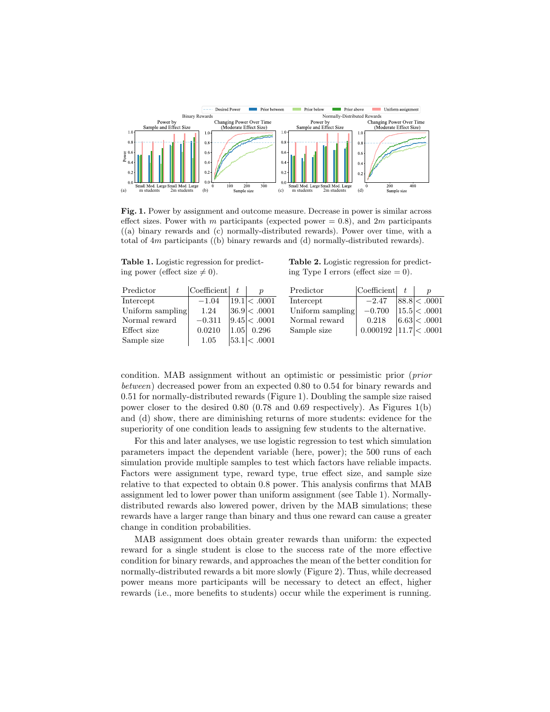

Fig. 1. Power by assignment and outcome measure. Decrease in power is similar across effect sizes. Power with m participants (expected power  $= 0.8$ ), and 2m participants ((a) binary rewards and (c) normally-distributed rewards). Power over time, with a total of 4m participants ((b) binary rewards and (d) normally-distributed rewards).

Table 1. Logistic regression for predicting power (effect size  $\neq 0$ ).

Table 2. Logistic regression for predicting Type I errors (effect size  $= 0$ ).

| Predictor        | $ $ Coefficient $ t $ |                      | Predictor        | $\text{Coefficient} \mid t$ |             |
|------------------|-----------------------|----------------------|------------------|-----------------------------|-------------|
| Intercept        | $-1.04$               | 19.1 <.0001          | Intercept        | $-2.47$                     | 88.8 <.0001 |
| Uniform sampling | 1.24                  | 36.9 <.0001          | Uniform sampling | $-0.700$                    | 15.5 <.0001 |
| Normal reward    | $-0.311$              | 9.45  < .0001        | Normal reward    | 0.218                       | 6.63 <.0001 |
| Effect size      | 0.0210                | $1.05 \,   \, 0.296$ | Sample size      | 0.000192                    | 11.7 <.0001 |
| Sample size      | 1.05                  | 53.1 <.0001          |                  |                             |             |

condition. MAB assignment without an optimistic or pessimistic prior (prior between) decreased power from an expected 0.80 to 0.54 for binary rewards and 0.51 for normally-distributed rewards (Figure 1). Doubling the sample size raised power closer to the desired 0.80 (0.78 and 0.69 respectively). As Figures 1(b) and (d) show, there are diminishing returns of more students: evidence for the superiority of one condition leads to assigning few students to the alternative.

For this and later analyses, we use logistic regression to test which simulation parameters impact the dependent variable (here, power); the 500 runs of each simulation provide multiple samples to test which factors have reliable impacts. Factors were assignment type, reward type, true effect size, and sample size relative to that expected to obtain 0.8 power. This analysis confirms that MAB assignment led to lower power than uniform assignment (see Table 1). Normallydistributed rewards also lowered power, driven by the MAB simulations; these rewards have a larger range than binary and thus one reward can cause a greater change in condition probabilities.

MAB assignment does obtain greater rewards than uniform: the expected reward for a single student is close to the success rate of the more effective condition for binary rewards, and approaches the mean of the better condition for normally-distributed rewards a bit more slowly (Figure 2). Thus, while decreased power means more participants will be necessary to detect an effect, higher rewards (i.e., more benefits to students) occur while the experiment is running.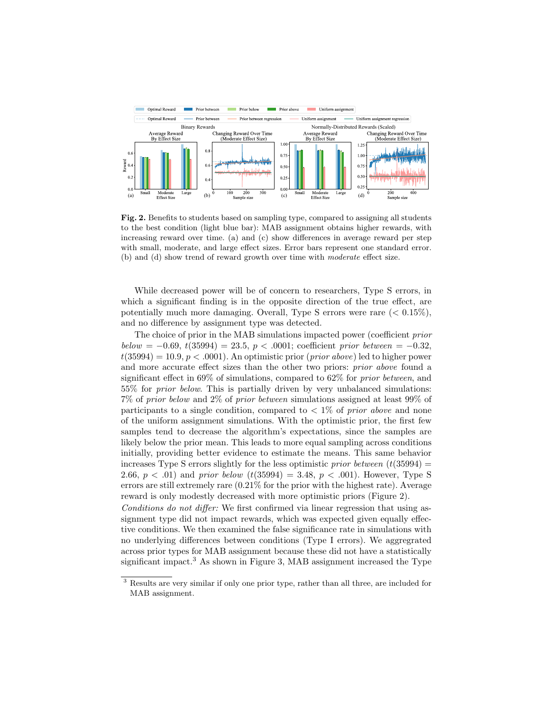

Fig. 2. Benefits to students based on sampling type, compared to assigning all students to the best condition (light blue bar): MAB assignment obtains higher rewards, with increasing reward over time. (a) and (c) show differences in average reward per step with small, moderate, and large effect sizes. Error bars represent one standard error. (b) and (d) show trend of reward growth over time with moderate effect size.

While decreased power will be of concern to researchers, Type S errors, in which a significant finding is in the opposite direction of the true effect, are potentially much more damaging. Overall, Type S errors were rare  $( $0.15\%$ ),$ and no difference by assignment type was detected.

The choice of prior in the MAB simulations impacted power (coefficient prior below =  $-0.69$ ,  $t(35994) = 23.5$ ,  $p < .0001$ ; coefficient prior between =  $-0.32$ ,  $t(35994) = 10.9, p < .0001$ . An optimistic prior (*prior above*) led to higher power and more accurate effect sizes than the other two priors: prior above found a significant effect in 69% of simulations, compared to 62% for prior between, and 55% for prior below. This is partially driven by very unbalanced simulations: 7% of prior below and 2% of prior between simulations assigned at least 99% of participants to a single condition, compared to  $\langle 1\% \rangle$  of prior above and none of the uniform assignment simulations. With the optimistic prior, the first few samples tend to decrease the algorithm's expectations, since the samples are likely below the prior mean. This leads to more equal sampling across conditions initially, providing better evidence to estimate the means. This same behavior increases Type S errors slightly for the less optimistic *prior between*  $(t(35994) =$ 2.66,  $p < .01$ ) and *prior below*  $(t(35994) = 3.48, p < .001)$ . However, Type S errors are still extremely rare (0.21% for the prior with the highest rate). Average reward is only modestly decreased with more optimistic priors (Figure 2).

Conditions do not differ: We first confirmed via linear regression that using assignment type did not impact rewards, which was expected given equally effective conditions. We then examined the false significance rate in simulations with no underlying differences between conditions (Type I errors). We aggregrated across prior types for MAB assignment because these did not have a statistically significant impact.<sup>3</sup> As shown in Figure 3, MAB assignment increased the Type

<sup>3</sup> Results are very similar if only one prior type, rather than all three, are included for MAB assignment.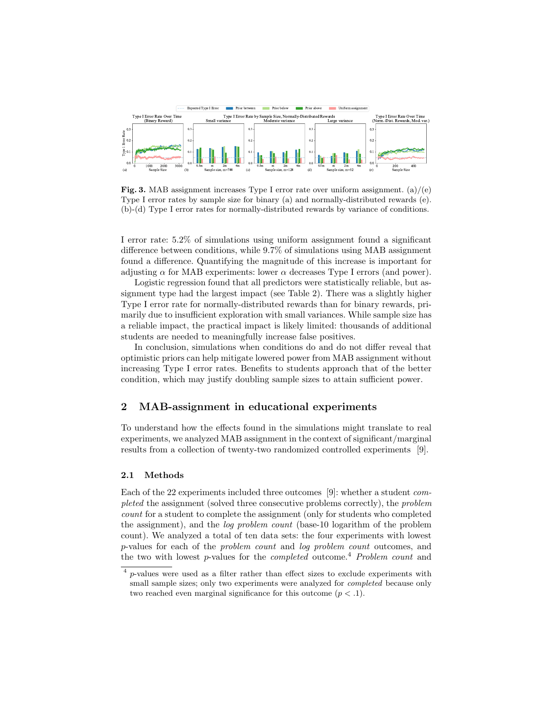

**Fig. 3.** MAB assignment increases Type I error rate over uniform assignment. (a)/(e) Type I error rates by sample size for binary (a) and normally-distributed rewards (e). (b)-(d) Type I error rates for normally-distributed rewards by variance of conditions.

I error rate: 5.2% of simulations using uniform assignment found a significant difference between conditions, while 9.7% of simulations using MAB assignment found a difference. Quantifying the magnitude of this increase is important for adjusting  $\alpha$  for MAB experiments: lower  $\alpha$  decreases Type I errors (and power).

Logistic regression found that all predictors were statistically reliable, but assignment type had the largest impact (see Table 2). There was a slightly higher Type I error rate for normally-distributed rewards than for binary rewards, primarily due to insufficient exploration with small variances. While sample size has a reliable impact, the practical impact is likely limited: thousands of additional students are needed to meaningfully increase false positives.

In conclusion, simulations when conditions do and do not differ reveal that optimistic priors can help mitigate lowered power from MAB assignment without increasing Type I error rates. Benefits to students approach that of the better condition, which may justify doubling sample sizes to attain sufficient power.

### 2 MAB-assignment in educational experiments

To understand how the effects found in the simulations might translate to real experiments, we analyzed MAB assignment in the context of significant/marginal results from a collection of twenty-two randomized controlled experiments [9].

#### 2.1 Methods

Each of the 22 experiments included three outcomes [9]: whether a student completed the assignment (solved three consecutive problems correctly), the *problem* count for a student to complete the assignment (only for students who completed the assignment), and the log problem count (base-10 logarithm of the problem count). We analyzed a total of ten data sets: the four experiments with lowest p-values for each of the problem count and log problem count outcomes, and the two with lowest p-values for the *completed* outcome.<sup>4</sup> Problem count and

<sup>&</sup>lt;sup>4</sup> p-values were used as a filter rather than effect sizes to exclude experiments with small sample sizes; only two experiments were analyzed for *completed* because only two reached even marginal significance for this outcome  $(p < 0.1)$ .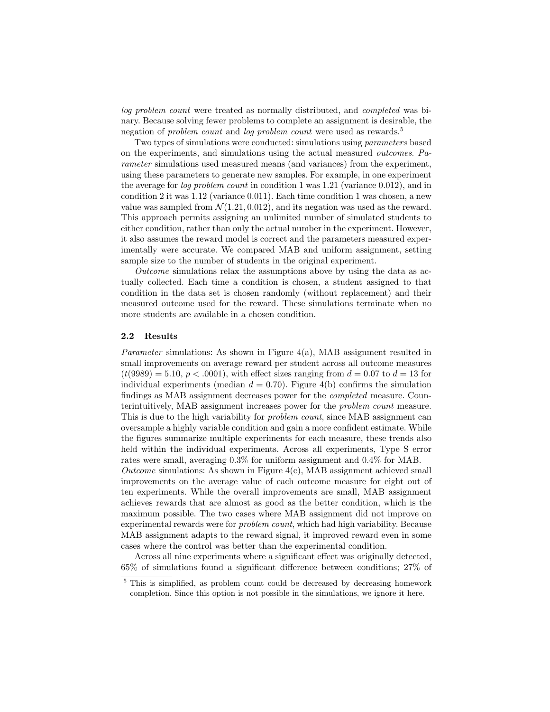log problem count were treated as normally distributed, and completed was binary. Because solving fewer problems to complete an assignment is desirable, the negation of *problem count* and *log problem count* were used as rewards.<sup>5</sup>

Two types of simulations were conducted: simulations using parameters based on the experiments, and simulations using the actual measured outcomes. Parameter simulations used measured means (and variances) from the experiment, using these parameters to generate new samples. For example, in one experiment the average for *log problem count* in condition 1 was  $1.21$  (variance 0.012), and in condition 2 it was 1.12 (variance 0.011). Each time condition 1 was chosen, a new value was sampled from  $\mathcal{N}(1.21, 0.012)$ , and its negation was used as the reward. This approach permits assigning an unlimited number of simulated students to either condition, rather than only the actual number in the experiment. However, it also assumes the reward model is correct and the parameters measured experimentally were accurate. We compared MAB and uniform assignment, setting sample size to the number of students in the original experiment.

Outcome simulations relax the assumptions above by using the data as actually collected. Each time a condition is chosen, a student assigned to that condition in the data set is chosen randomly (without replacement) and their measured outcome used for the reward. These simulations terminate when no more students are available in a chosen condition.

#### 2.2 Results

*Parameter* simulations: As shown in Figure  $4(a)$ , MAB assignment resulted in small improvements on average reward per student across all outcome measures  $(t(9989) = 5.10, p < .0001)$ , with effect sizes ranging from  $d = 0.07$  to  $d = 13$  for individual experiments (median  $d = 0.70$ ). Figure 4(b) confirms the simulation findings as MAB assignment decreases power for the completed measure. Counterintuitively, MAB assignment increases power for the problem count measure. This is due to the high variability for *problem count*, since MAB assignment can oversample a highly variable condition and gain a more confident estimate. While the figures summarize multiple experiments for each measure, these trends also held within the individual experiments. Across all experiments, Type S error rates were small, averaging 0.3% for uniform assignment and 0.4% for MAB.

Outcome simulations: As shown in Figure  $4(c)$ , MAB assignment achieved small improvements on the average value of each outcome measure for eight out of ten experiments. While the overall improvements are small, MAB assignment achieves rewards that are almost as good as the better condition, which is the maximum possible. The two cases where MAB assignment did not improve on experimental rewards were for problem count, which had high variability. Because MAB assignment adapts to the reward signal, it improved reward even in some cases where the control was better than the experimental condition.

Across all nine experiments where a significant effect was originally detected, 65% of simulations found a significant difference between conditions; 27% of

<sup>&</sup>lt;sup>5</sup> This is simplified, as problem count could be decreased by decreasing homework completion. Since this option is not possible in the simulations, we ignore it here.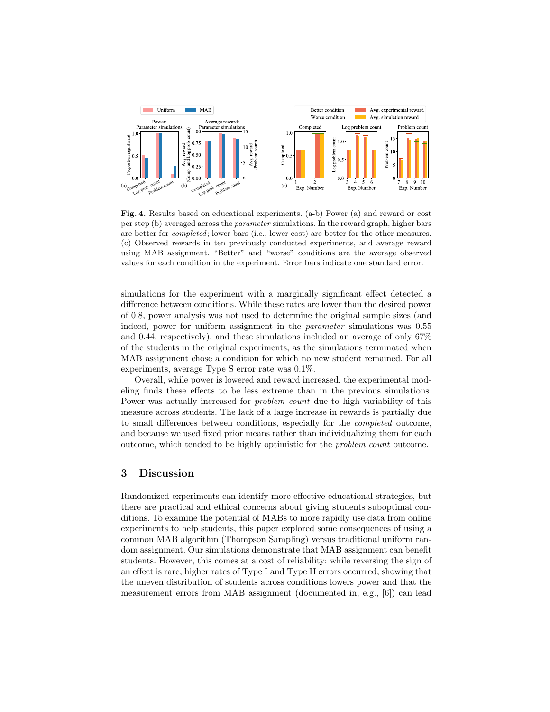

Fig. 4. Results based on educational experiments. (a-b) Power (a) and reward or cost per step (b) averaged across the parameter simulations. In the reward graph, higher bars are better for completed; lower bars (i.e., lower cost) are better for the other measures. (c) Observed rewards in ten previously conducted experiments, and average reward using MAB assignment. "Better" and "worse" conditions are the average observed values for each condition in the experiment. Error bars indicate one standard error.

simulations for the experiment with a marginally significant effect detected a difference between conditions. While these rates are lower than the desired power of 0.8, power analysis was not used to determine the original sample sizes (and indeed, power for uniform assignment in the parameter simulations was 0.55 and 0.44, respectively), and these simulations included an average of only 67% of the students in the original experiments, as the simulations terminated when MAB assignment chose a condition for which no new student remained. For all experiments, average Type S error rate was 0.1%.

Overall, while power is lowered and reward increased, the experimental modeling finds these effects to be less extreme than in the previous simulations. Power was actually increased for problem count due to high variability of this measure across students. The lack of a large increase in rewards is partially due to small differences between conditions, especially for the completed outcome, and because we used fixed prior means rather than individualizing them for each outcome, which tended to be highly optimistic for the problem count outcome.

# 3 Discussion

Randomized experiments can identify more effective educational strategies, but there are practical and ethical concerns about giving students suboptimal conditions. To examine the potential of MABs to more rapidly use data from online experiments to help students, this paper explored some consequences of using a common MAB algorithm (Thompson Sampling) versus traditional uniform random assignment. Our simulations demonstrate that MAB assignment can benefit students. However, this comes at a cost of reliability: while reversing the sign of an effect is rare, higher rates of Type I and Type II errors occurred, showing that the uneven distribution of students across conditions lowers power and that the measurement errors from MAB assignment (documented in, e.g., [6]) can lead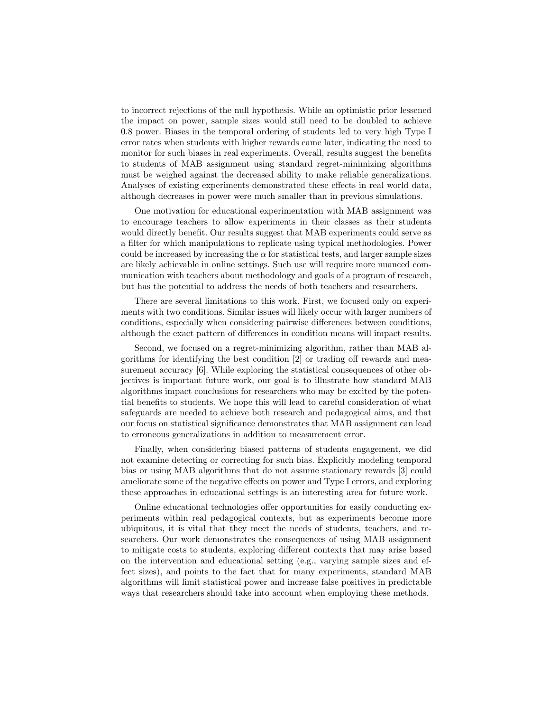to incorrect rejections of the null hypothesis. While an optimistic prior lessened the impact on power, sample sizes would still need to be doubled to achieve 0.8 power. Biases in the temporal ordering of students led to very high Type I error rates when students with higher rewards came later, indicating the need to monitor for such biases in real experiments. Overall, results suggest the benefits to students of MAB assignment using standard regret-minimizing algorithms must be weighed against the decreased ability to make reliable generalizations. Analyses of existing experiments demonstrated these effects in real world data, although decreases in power were much smaller than in previous simulations.

One motivation for educational experimentation with MAB assignment was to encourage teachers to allow experiments in their classes as their students would directly benefit. Our results suggest that MAB experiments could serve as a filter for which manipulations to replicate using typical methodologies. Power could be increased by increasing the  $\alpha$  for statistical tests, and larger sample sizes are likely achievable in online settings. Such use will require more nuanced communication with teachers about methodology and goals of a program of research, but has the potential to address the needs of both teachers and researchers.

There are several limitations to this work. First, we focused only on experiments with two conditions. Similar issues will likely occur with larger numbers of conditions, especially when considering pairwise differences between conditions, although the exact pattern of differences in condition means will impact results.

Second, we focused on a regret-minimizing algorithm, rather than MAB algorithms for identifying the best condition [2] or trading off rewards and measurement accuracy [6]. While exploring the statistical consequences of other objectives is important future work, our goal is to illustrate how standard MAB algorithms impact conclusions for researchers who may be excited by the potential benefits to students. We hope this will lead to careful consideration of what safeguards are needed to achieve both research and pedagogical aims, and that our focus on statistical significance demonstrates that MAB assignment can lead to erroneous generalizations in addition to measurement error.

Finally, when considering biased patterns of students engagement, we did not examine detecting or correcting for such bias. Explicitly modeling temporal bias or using MAB algorithms that do not assume stationary rewards [3] could ameliorate some of the negative effects on power and Type I errors, and exploring these approaches in educational settings is an interesting area for future work.

Online educational technologies offer opportunities for easily conducting experiments within real pedagogical contexts, but as experiments become more ubiquitous, it is vital that they meet the needs of students, teachers, and researchers. Our work demonstrates the consequences of using MAB assignment to mitigate costs to students, exploring different contexts that may arise based on the intervention and educational setting (e.g., varying sample sizes and effect sizes), and points to the fact that for many experiments, standard MAB algorithms will limit statistical power and increase false positives in predictable ways that researchers should take into account when employing these methods.